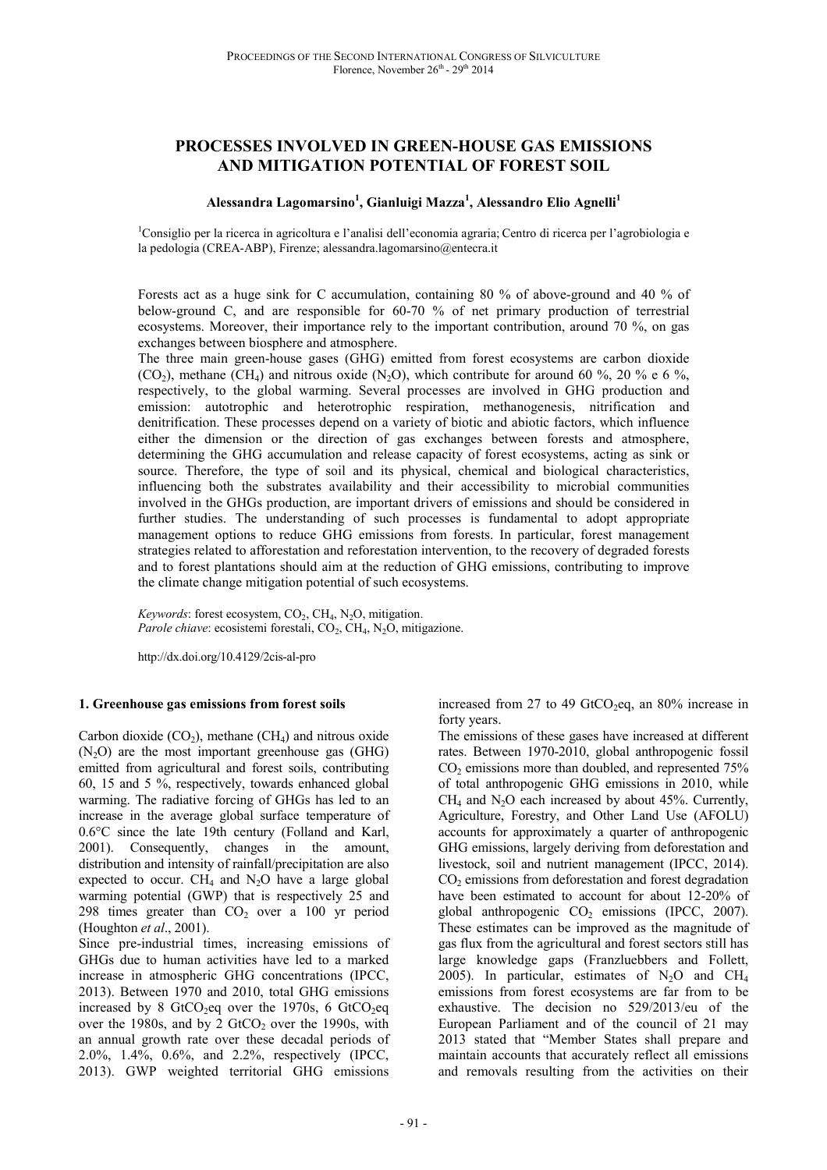# **PROCESSES INVOLVED IN GREEN-HOUSE GAS EMISSIONS AND MITIGATION POTENTIAL OF FOREST SOIL**

# **Alessandra Lagomarsino<sup>1</sup> , Gianluigi Mazza<sup>1</sup> , Alessandro Elio Agnelli<sup>1</sup>**

<sup>1</sup>Consiglio per la ricerca in agricoltura e l'analisi dell'economia agraria; Centro di ricerca per l'agrobiologia e la pedologia (CREA-ABP), Firenze; alessandra.lagomarsino@entecra.it

Forests act as a huge sink for C accumulation, containing 80 % of above-ground and 40 % of below-ground C, and are responsible for 60-70 % of net primary production of terrestrial ecosystems. Moreover, their importance rely to the important contribution, around 70 %, on gas exchanges between biosphere and atmosphere.

The three main green-house gases (GHG) emitted from forest ecosystems are carbon dioxide (CO<sub>2</sub>), methane (CH<sub>4</sub>) and nitrous oxide (N<sub>2</sub>O), which contribute for around 60 %, 20 % e 6 %, respectively, to the global warming. Several processes are involved in GHG production and emission: autotrophic and heterotrophic respiration, methanogenesis, nitrification and denitrification. These processes depend on a variety of biotic and abiotic factors, which influence either the dimension or the direction of gas exchanges between forests and atmosphere, determining the GHG accumulation and release capacity of forest ecosystems, acting as sink or source. Therefore, the type of soil and its physical, chemical and biological characteristics, influencing both the substrates availability and their accessibility to microbial communities involved in the GHGs production, are important drivers of emissions and should be considered in further studies. The understanding of such processes is fundamental to adopt appropriate management options to reduce GHG emissions from forests. In particular, forest management strategies related to afforestation and reforestation intervention, to the recovery of degraded forests and to forest plantations should aim at the reduction of GHG emissions, contributing to improve the climate change mitigation potential of such ecosystems.

Keywords: forest ecosystem, CO<sub>2</sub>, CH<sub>4</sub>, N<sub>2</sub>O, mitigation. Parole chiave: ecosistemi forestali, CO<sub>2</sub>, CH<sub>4</sub>, N<sub>2</sub>O, mitigazione.

http://dx.doi.org/10.4129/2cis-al-pro

#### **1. Greenhouse gas emissions from forest soils**

Carbon dioxide  $(CO<sub>2</sub>)$ , methane  $(CH<sub>4</sub>)$  and nitrous oxide  $(N_2O)$  are the most important greenhouse gas (GHG) emitted from agricultural and forest soils, contributing 60, 15 and 5 %, respectively, towards enhanced global warming. The radiative forcing of GHGs has led to an increase in the average global surface temperature of 0.6°C since the late 19th century (Folland and Karl, 2001). Consequently, changes in the amount, distribution and intensity of rainfall/precipitation are also expected to occur.  $CH<sub>4</sub>$  and N<sub>2</sub>O have a large global warming potential (GWP) that is respectively 25 and 298 times greater than  $CO<sub>2</sub>$  over a 100 yr period (Houghton *et al*., 2001).

Since pre-industrial times, increasing emissions of GHGs due to human activities have led to a marked increase in atmospheric GHG concentrations (IPCC, 2013). Between 1970 and 2010, total GHG emissions increased by 8 GtCO<sub>2</sub>eq over the 1970s, 6 GtCO<sub>2</sub>eq over the 1980s, and by 2  $GtCO<sub>2</sub>$  over the 1990s, with an annual growth rate over these decadal periods of 2.0%, 1.4%, 0.6%, and 2.2%, respectively (IPCC, 2013). GWP weighted territorial GHG emissions

increased from 27 to 49 GtCO<sub>2</sub>eq, an 80% increase in forty years.

The emissions of these gases have increased at different rates. Between 1970-2010, global anthropogenic fossil  $CO<sub>2</sub>$  emissions more than doubled, and represented  $75%$ of total anthropogenic GHG emissions in 2010, while  $CH<sub>4</sub>$  and N<sub>2</sub>O each increased by about 45%. Currently, Agriculture, Forestry, and Other Land Use (AFOLU) accounts for approximately a quarter of anthropogenic GHG emissions, largely deriving from deforestation and livestock, soil and nutrient management (IPCC, 2014). CO<sub>2</sub> emissions from deforestation and forest degradation have been estimated to account for about 12-20% of global anthropogenic  $CO<sub>2</sub>$  emissions (IPCC, 2007). These estimates can be improved as the magnitude of gas flux from the agricultural and forest sectors still has large knowledge gaps (Franzluebbers and Follett, 2005). In particular, estimates of  $N_2O$  and  $CH_4$ emissions from forest ecosystems are far from to be exhaustive. The decision no 529/2013/eu of the European Parliament and of the council of 21 may 2013 stated that "Member States shall prepare and maintain accounts that accurately reflect all emissions and removals resulting from the activities on their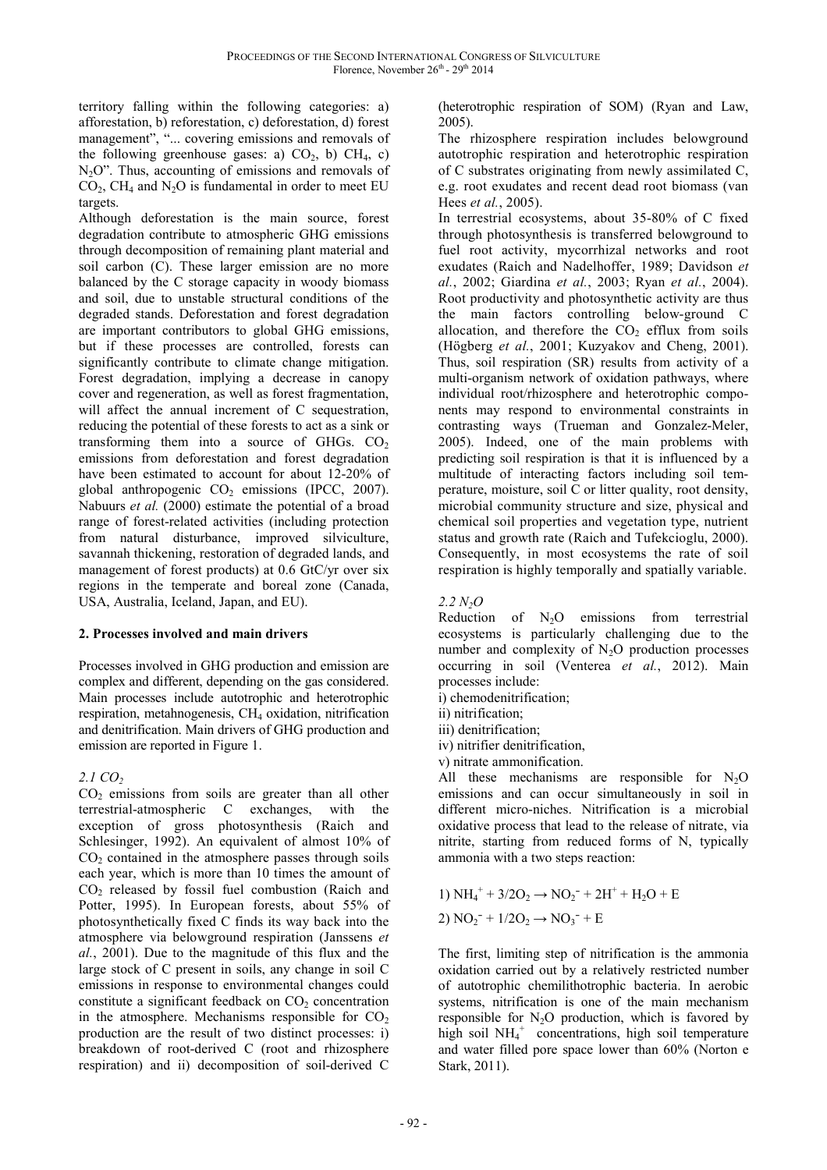territory falling within the following categories: a) afforestation, b) reforestation, c) deforestation, d) forest management", "... covering emissions and removals of the following greenhouse gases: a)  $CO<sub>2</sub>$ , b)  $CH<sub>4</sub>$ , c)  $N<sub>2</sub>O$ ". Thus, accounting of emissions and removals of  $CO<sub>2</sub>$ , CH<sub>4</sub> and N<sub>2</sub>O is fundamental in order to meet EU targets.

Although deforestation is the main source, forest degradation contribute to atmospheric GHG emissions through decomposition of remaining plant material and soil carbon (C). These larger emission are no more balanced by the C storage capacity in woody biomass and soil, due to unstable structural conditions of the degraded stands. Deforestation and forest degradation are important contributors to global GHG emissions, but if these processes are controlled, forests can significantly contribute to climate change mitigation. Forest degradation, implying a decrease in canopy cover and regeneration, as well as forest fragmentation, will affect the annual increment of C sequestration, reducing the potential of these forests to act as a sink or transforming them into a source of GHGs.  $CO<sub>2</sub>$ emissions from deforestation and forest degradation have been estimated to account for about 12-20% of global anthropogenic  $CO<sub>2</sub>$  emissions (IPCC, 2007). Nabuurs *et al.* (2000) estimate the potential of a broad range of forest-related activities (including protection from natural disturbance, improved silviculture, savannah thickening, restoration of degraded lands, and management of forest products) at 0.6 GtC/yr over six regions in the temperate and boreal zone (Canada, USA, Australia, Iceland, Japan, and EU).

#### **2. Processes involved and main drivers**

Processes involved in GHG production and emission are complex and different, depending on the gas considered. Main processes include autotrophic and heterotrophic respiration, metahnogenesis, CH4 oxidation, nitrification and denitrification. Main drivers of GHG production and emission are reported in Figure 1.

# *2.1 CO<sup>2</sup>*

 $CO<sub>2</sub>$  emissions from soils are greater than all other terrestrial-atmospheric C exchanges, with the exception of gross photosynthesis (Raich and Schlesinger, 1992). An equivalent of almost 10% of  $CO<sub>2</sub>$  contained in the atmosphere passes through soils each year, which is more than 10 times the amount of CO2 released by fossil fuel combustion (Raich and Potter, 1995). In European forests, about 55% of photosynthetically fixed C finds its way back into the atmosphere via belowground respiration (Janssens *et al.*, 2001). Due to the magnitude of this flux and the large stock of C present in soils, any change in soil C emissions in response to environmental changes could constitute a significant feedback on  $CO<sub>2</sub>$  concentration in the atmosphere. Mechanisms responsible for  $CO<sub>2</sub>$ production are the result of two distinct processes: i) breakdown of root-derived C (root and rhizosphere respiration) and ii) decomposition of soil-derived C

(heterotrophic respiration of SOM) (Ryan and Law, 2005).

The rhizosphere respiration includes belowground autotrophic respiration and heterotrophic respiration of C substrates originating from newly assimilated C, e.g. root exudates and recent dead root biomass (van Hees *et al.*, 2005).

In terrestrial ecosystems, about 35-80% of C fixed through photosynthesis is transferred belowground to fuel root activity, mycorrhizal networks and root exudates (Raich and Nadelhoffer, 1989; Davidson *et al.*, 2002; Giardina *et al.*, 2003; Ryan *et al.*, 2004). Root productivity and photosynthetic activity are thus the main factors controlling below-ground C allocation, and therefore the  $CO<sub>2</sub>$  efflux from soils (Högberg *et al.*, 2001; Kuzyakov and Cheng, 2001). Thus, soil respiration (SR) results from activity of a multi-organism network of oxidation pathways, where individual root/rhizosphere and heterotrophic components may respond to environmental constraints in contrasting ways (Trueman and Gonzalez-Meler, 2005). Indeed, one of the main problems with predicting soil respiration is that it is influenced by a multitude of interacting factors including soil temperature, moisture, soil C or litter quality, root density, microbial community structure and size, physical and chemical soil properties and vegetation type, nutrient status and growth rate (Raich and Tufekcioglu, 2000). Consequently, in most ecosystems the rate of soil respiration is highly temporally and spatially variable.

*2.2 N2O* 

Reduction of  $N_2O$  emissions from terrestrial ecosystems is particularly challenging due to the number and complexity of  $N_2O$  production processes occurring in soil (Venterea *et al.*, 2012). Main processes include:

i) chemodenitrification;

ii) nitrification;

iii) denitrification;

iv) nitrifier denitrification,

v) nitrate ammonification.

All these mechanisms are responsible for  $N_2O$ emissions and can occur simultaneously in soil in different micro-niches. Nitrification is a microbial oxidative process that lead to the release of nitrate, via nitrite, starting from reduced forms of N, typically ammonia with a two steps reaction:

1) NH<sub>4</sub><sup>+</sup> + 3/2O<sub>2</sub> 
$$
\rightarrow
$$
 NO<sub>2</sub><sup>-</sup> + 2H<sup>+</sup> + H<sub>2</sub>O + E  
2) NO<sub>2</sub><sup>-</sup> + 1/2O<sub>2</sub>  $\rightarrow$  NO<sub>3</sub><sup>-</sup> + E

The first, limiting step of nitrification is the ammonia oxidation carried out by a relatively restricted number of autotrophic chemilithotrophic bacteria. In aerobic systems, nitrification is one of the main mechanism responsible for  $N_2O$  production, which is favored by high soil  $NH_4^+$  concentrations, high soil temperature and water filled pore space lower than 60% (Norton e Stark, 2011).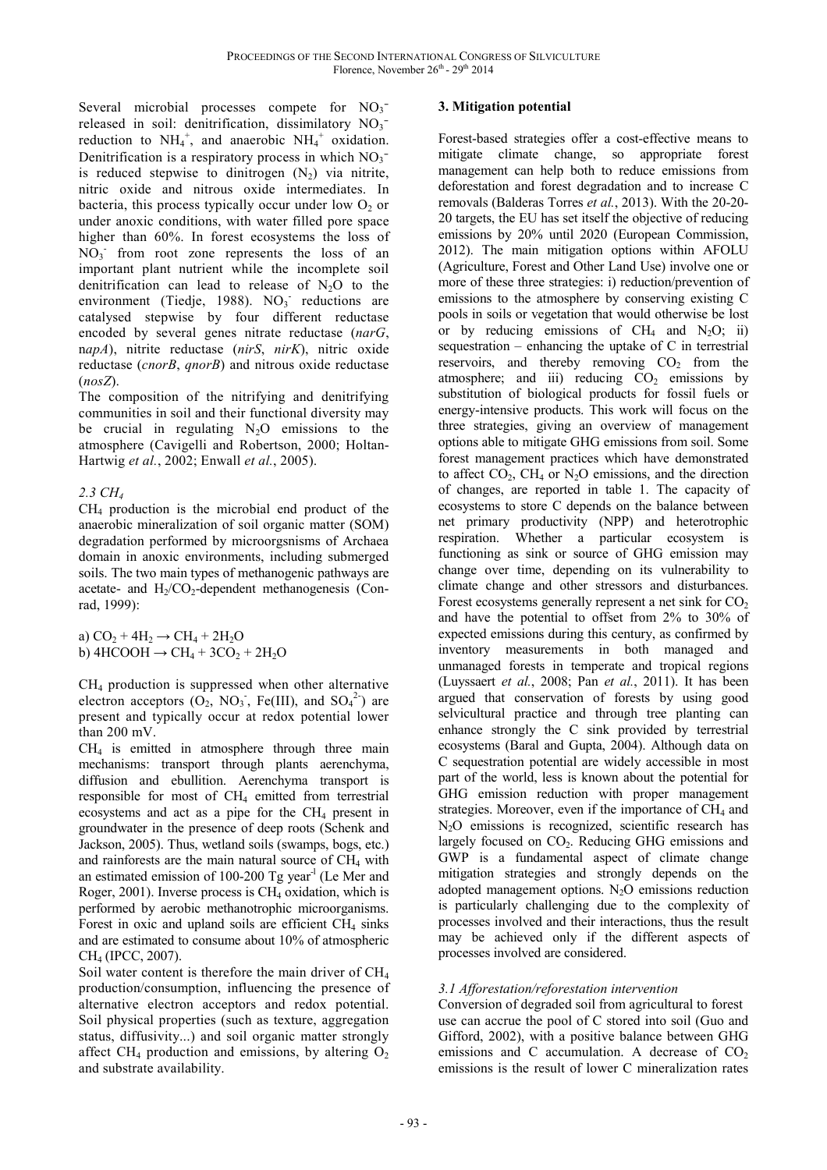Several microbial processes compete for  $NO<sub>3</sub>$ <sup>-</sup> released in soil: denitrification, dissimilatory  $NO_3$ <sup>-</sup> reduction to  $NH_4^+$ , and anaerobic  $NH_4^+$  oxidation. Denitrification is a respiratory process in which  $NO<sub>3</sub>$ is reduced stepwise to dinitrogen  $(N_2)$  via nitrite, nitric oxide and nitrous oxide intermediates. In bacteria, this process typically occur under low  $O_2$  or under anoxic conditions, with water filled pore space higher than 60%. In forest ecosystems the loss of  $NO<sub>3</sub>$  from root zone represents the loss of an important plant nutrient while the incomplete soil denitrification can lead to release of  $N_2O$  to the environment (Tiedje, 1988).  $NO<sub>3</sub>$  reductions are catalysed stepwise by four different reductase encoded by several genes nitrate reductase (*narG*, n*apA*), nitrite reductase (*nirS*, *nirK*), nitric oxide reductase (*cnorB*, *qnorB*) and nitrous oxide reductase (*nosZ*).

The composition of the nitrifying and denitrifying communities in soil and their functional diversity may be crucial in regulating  $N_2O$  emissions to the atmosphere (Cavigelli and Robertson, 2000; Holtan-Hartwig *et al.*, 2002; Enwall *et al.*, 2005).

#### *2.3 CH<sup>4</sup>*

CH4 production is the microbial end product of the anaerobic mineralization of soil organic matter (SOM) degradation performed by microorgsnisms of Archaea domain in anoxic environments, including submerged soils. The two main types of methanogenic pathways are acetate- and  $H_2/CO_2$ -dependent methanogenesis (Conrad, 1999):

a) 
$$
CO_2 + 4H_2 \rightarrow CH_4 + 2H_2O
$$
  
b)  $4HCOOH \rightarrow CH_4 + 3CO_2 + 2H_2O$ 

CH4 production is suppressed when other alternative electron acceptors  $(O_2, NO_3, Fe(III)),$  and  $SO_4^{2-}$ ) are present and typically occur at redox potential lower than 200 mV.

 $CH<sub>4</sub>$  is emitted in atmosphere through three main mechanisms: transport through plants aerenchyma, diffusion and ebullition. Aerenchyma transport is responsible for most of CH4 emitted from terrestrial ecosystems and act as a pipe for the CH<sub>4</sub> present in groundwater in the presence of deep roots (Schenk and Jackson, 2005). Thus, wetland soils (swamps, bogs, etc.) and rainforests are the main natural source of  $CH<sub>4</sub>$  with an estimated emission of 100-200 Tg year<sup>-1</sup> (Le Mer and Roger, 2001). Inverse process is  $CH<sub>4</sub>$  oxidation, which is performed by aerobic methanotrophic microorganisms. Forest in oxic and upland soils are efficient  $CH<sub>4</sub>$  sinks and are estimated to consume about 10% of atmospheric CH4 (IPCC, 2007).

Soil water content is therefore the main driver of CH<sup>4</sup> production/consumption, influencing the presence of alternative electron acceptors and redox potential. Soil physical properties (such as texture, aggregation status, diffusivity...) and soil organic matter strongly affect CH<sub>4</sub> production and emissions, by altering  $O<sub>2</sub>$ and substrate availability.

#### **3. Mitigation potential**

Forest-based strategies offer a cost-effective means to mitigate climate change, so appropriate forest management can help both to reduce emissions from deforestation and forest degradation and to increase C removals (Balderas Torres *et al.*, 2013). With the 20-20- 20 targets, the EU has set itself the objective of reducing emissions by 20% until 2020 (European Commission, 2012). The main mitigation options within AFOLU (Agriculture, Forest and Other Land Use) involve one or more of these three strategies: i) reduction/prevention of emissions to the atmosphere by conserving existing C pools in soils or vegetation that would otherwise be lost or by reducing emissions of  $CH<sub>4</sub>$  and N<sub>2</sub>O; ii) sequestration – enhancing the uptake of C in terrestrial reservoirs, and thereby removing  $CO<sub>2</sub>$  from the atmosphere; and iii) reducing  $CO<sub>2</sub>$  emissions by substitution of biological products for fossil fuels or energy-intensive products. This work will focus on the three strategies, giving an overview of management options able to mitigate GHG emissions from soil. Some forest management practices which have demonstrated to affect  $CO_2$ ,  $CH_4$  or  $N_2O$  emissions, and the direction of changes, are reported in table 1. The capacity of ecosystems to store C depends on the balance between net primary productivity (NPP) and heterotrophic respiration. Whether a particular ecosystem is functioning as sink or source of GHG emission may change over time, depending on its vulnerability to climate change and other stressors and disturbances. Forest ecosystems generally represent a net sink for  $CO<sub>2</sub>$ and have the potential to offset from 2% to 30% of expected emissions during this century, as confirmed by inventory measurements in both managed and unmanaged forests in temperate and tropical regions (Luyssaert *et al.*, 2008; Pan *et al.*, 2011). It has been argued that conservation of forests by using good selvicultural practice and through tree planting can enhance strongly the C sink provided by terrestrial ecosystems (Baral and Gupta, 2004). Although data on C sequestration potential are widely accessible in most part of the world, less is known about the potential for GHG emission reduction with proper management strategies. Moreover, even if the importance of  $CH<sub>4</sub>$  and N<sub>2</sub>O emissions is recognized, scientific research has largely focused on  $CO<sub>2</sub>$ . Reducing GHG emissions and GWP is a fundamental aspect of climate change mitigation strategies and strongly depends on the adopted management options.  $N_2O$  emissions reduction is particularly challenging due to the complexity of processes involved and their interactions, thus the result may be achieved only if the different aspects of processes involved are considered.

# *3.1 Afforestation/reforestation intervention*

Conversion of degraded soil from agricultural to forest use can accrue the pool of C stored into soil (Guo and Gifford, 2002), with a positive balance between GHG emissions and C accumulation. A decrease of  $CO<sub>2</sub>$ emissions is the result of lower C mineralization rates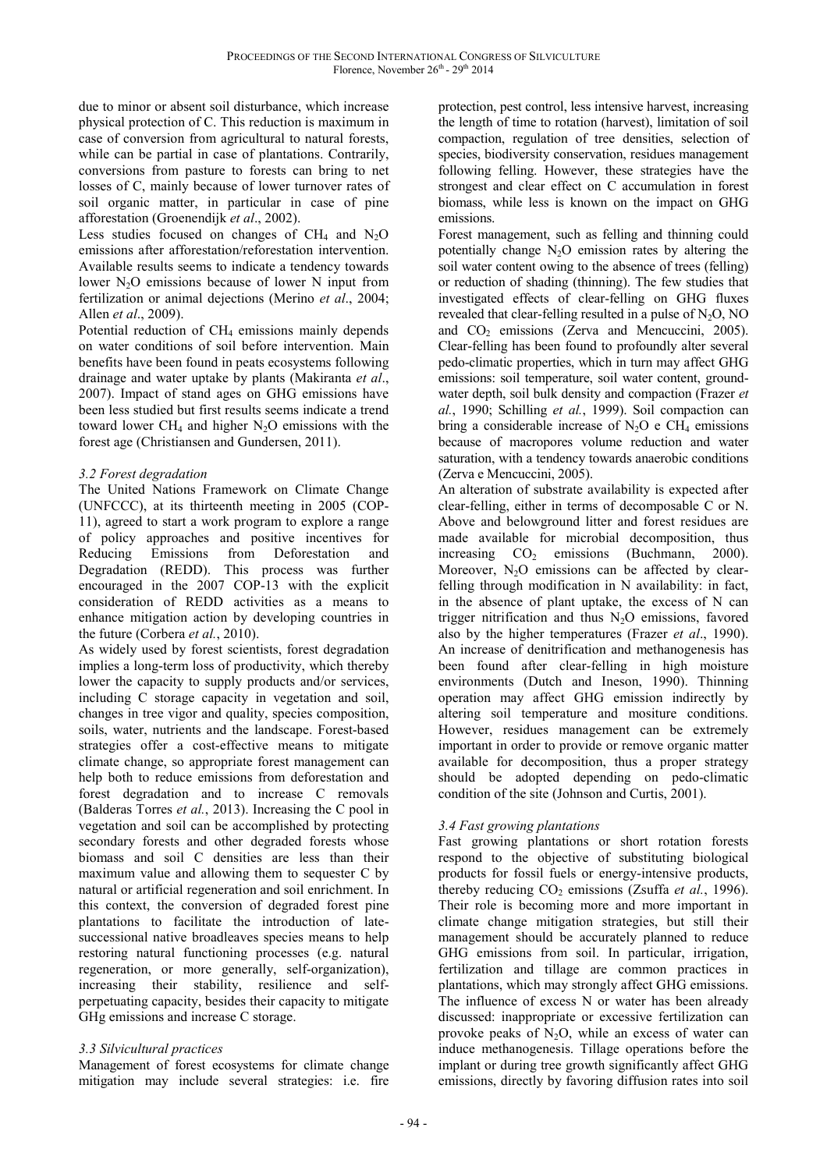due to minor or absent soil disturbance, which increase physical protection of C. This reduction is maximum in case of conversion from agricultural to natural forests, while can be partial in case of plantations. Contrarily, conversions from pasture to forests can bring to net losses of C, mainly because of lower turnover rates of soil organic matter, in particular in case of pine afforestation (Groenendijk *et al*., 2002).

Less studies focused on changes of  $CH<sub>4</sub>$  and N<sub>2</sub>O emissions after afforestation/reforestation intervention. Available results seems to indicate a tendency towards lower  $N_2O$  emissions because of lower N input from fertilization or animal dejections (Merino *et al*., 2004; Allen *et al*., 2009).

Potential reduction of CH<sub>4</sub> emissions mainly depends on water conditions of soil before intervention. Main benefits have been found in peats ecosystems following drainage and water uptake by plants (Makiranta *et al*., 2007). Impact of stand ages on GHG emissions have been less studied but first results seems indicate a trend toward lower CH<sub>4</sub> and higher  $N_2O$  emissions with the forest age (Christiansen and Gundersen, 2011).

# *3.2 Forest degradation*

The United Nations Framework on Climate Change (UNFCCC), at its thirteenth meeting in 2005 (COP-11), agreed to start a work program to explore a range of policy approaches and positive incentives for<br>Reducing Emissions from Deforestation and Reducing Emissions from Deforestation and Degradation (REDD). This process was further encouraged in the 2007 COP-13 with the explicit consideration of REDD activities as a means to enhance mitigation action by developing countries in the future (Corbera *et al.*, 2010).

As widely used by forest scientists, forest degradation implies a long-term loss of productivity, which thereby lower the capacity to supply products and/or services, including C storage capacity in vegetation and soil, changes in tree vigor and quality, species composition, soils, water, nutrients and the landscape. Forest-based strategies offer a cost-effective means to mitigate climate change, so appropriate forest management can help both to reduce emissions from deforestation and forest degradation and to increase C removals (Balderas Torres *et al.*, 2013). Increasing the C pool in vegetation and soil can be accomplished by protecting secondary forests and other degraded forests whose biomass and soil C densities are less than their maximum value and allowing them to sequester C by natural or artificial regeneration and soil enrichment. In this context, the conversion of degraded forest pine plantations to facilitate the introduction of latesuccessional native broadleaves species means to help restoring natural functioning processes (e.g. natural regeneration, or more generally, self-organization), increasing their stability, resilience and selfperpetuating capacity, besides their capacity to mitigate GHg emissions and increase C storage.

# *3.3 Silvicultural practices*

Management of forest ecosystems for climate change mitigation may include several strategies: i.e. fire protection, pest control, less intensive harvest, increasing the length of time to rotation (harvest), limitation of soil compaction, regulation of tree densities, selection of species, biodiversity conservation, residues management following felling. However, these strategies have the strongest and clear effect on C accumulation in forest biomass, while less is known on the impact on GHG emissions.

Forest management, such as felling and thinning could potentially change  $N_2O$  emission rates by altering the soil water content owing to the absence of trees (felling) or reduction of shading (thinning). The few studies that investigated effects of clear-felling on GHG fluxes revealed that clear-felling resulted in a pulse of  $N_2O$ , NO and  $CO<sub>2</sub>$  emissions (Zerva and Mencuccini, 2005). Clear-felling has been found to profoundly alter several pedo-climatic properties, which in turn may affect GHG emissions: soil temperature, soil water content, groundwater depth, soil bulk density and compaction (Frazer *et al.*, 1990; Schilling *et al.*, 1999). Soil compaction can bring a considerable increase of  $N_2O$  e CH<sub>4</sub> emissions because of macropores volume reduction and water saturation, with a tendency towards anaerobic conditions (Zerva e Mencuccini, 2005).

An alteration of substrate availability is expected after clear-felling, either in terms of decomposable C or N. Above and belowground litter and forest residues are made available for microbial decomposition, thus increasing  $CO<sub>2</sub>$  emissions (Buchmann, 2000). Moreover,  $N_2O$  emissions can be affected by clearfelling through modification in N availability: in fact, in the absence of plant uptake, the excess of N can trigger nitrification and thus  $N_2O$  emissions, favored also by the higher temperatures (Frazer *et al*., 1990). An increase of denitrification and methanogenesis has been found after clear-felling in high moisture environments (Dutch and Ineson, 1990). Thinning operation may affect GHG emission indirectly by altering soil temperature and mositure conditions. However, residues management can be extremely important in order to provide or remove organic matter available for decomposition, thus a proper strategy should be adopted depending on pedo-climatic condition of the site (Johnson and Curtis, 2001).

# *3.4 Fast growing plantations*

Fast growing plantations or short rotation forests respond to the objective of substituting biological products for fossil fuels or energy-intensive products, thereby reducing  $CO<sub>2</sub>$  emissions (Zsuffa *et al.*, 1996). Their role is becoming more and more important in climate change mitigation strategies, but still their management should be accurately planned to reduce GHG emissions from soil. In particular, irrigation, fertilization and tillage are common practices in plantations, which may strongly affect GHG emissions. The influence of excess N or water has been already discussed: inappropriate or excessive fertilization can provoke peaks of  $N_2O$ , while an excess of water can induce methanogenesis. Tillage operations before the implant or during tree growth significantly affect GHG emissions, directly by favoring diffusion rates into soil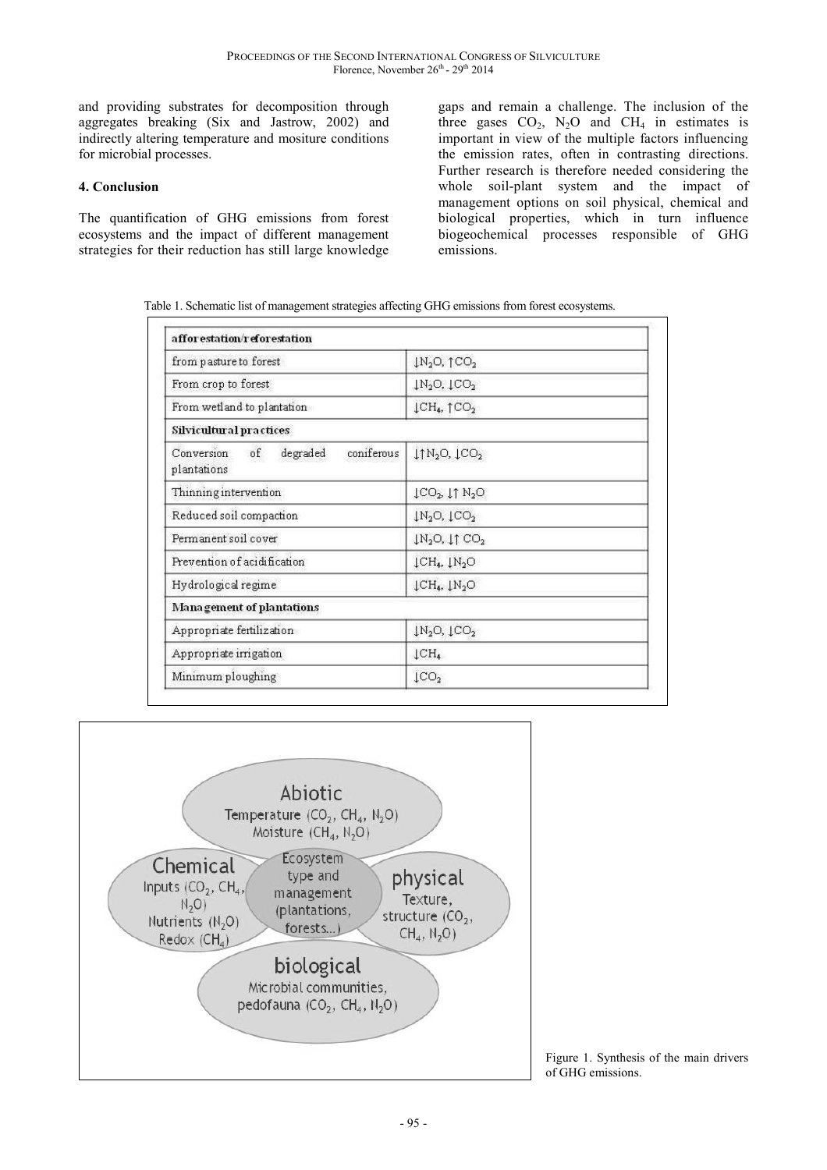and providing substrates for decomposition through aggregates breaking (Six and Jastrow, 2002) and indirectly altering temperature and mositure conditions for microbial processes.

### **4. Conclusion**

The quantification of GHG emissions from forest ecosystems and the impact of different management strategies for their reduction has still large knowledge gaps and remain a challenge. The inclusion of the three gases  $CO_2$ ,  $N_2O$  and  $CH_4$  in estimates is important in view of the multiple factors influencing the emission rates, often in contrasting directions. Further research is therefore needed considering the whole soil-plant system and the impact of management options on soil physical, chemical and biological properties, which in turn influence biogeochemical processes responsible of GHG emissions.

Table 1. Schematic list of management strategies affecting GHG emissions from forest ecosystems.

| from pasture to forest                                            | $1N_2O, 1CO_2$                                                 |
|-------------------------------------------------------------------|----------------------------------------------------------------|
| From crop to forest                                               | $\downarrow$ N <sub>2</sub> O, $\downarrow$ CO <sub>2</sub>    |
| From wetland to plantation                                        | $\downarrow$ CH <sub>4</sub> , $\uparrow$ CO <sub>2</sub>      |
| Silvicultural practices                                           |                                                                |
| Conversion<br>$\sigma f$<br>degraded<br>coniferous<br>plantations | $1 \uparrow N_2$ O, $1 \text{CO}_2$                            |
| Thinning intervention                                             | $\downarrow$ CO <sub>2</sub> , $\downarrow$ T N <sub>2</sub> O |
| Reduced soil compaction                                           | $\downarrow$ N <sub>2</sub> O, $\downarrow$ CO <sub>2</sub>    |
| Permanent soil cover                                              | $1N_2O, 11CO_2$                                                |
| Prevention of acidification                                       | $\downarrow$ CH <sub>4</sub> , $\downarrow$ N <sub>2</sub> O   |
| Hydrological regime                                               | $\downarrow$ CH <sub>4</sub> , $\downarrow$ N <sub>2</sub> O   |
| Management of plantations                                         |                                                                |
| Appropriate fertilization                                         | $\downarrow$ N <sub>2</sub> O, $\downarrow$ CO <sub>2</sub>    |
| Appropriate irrigation                                            | $\downarrow$ CH <sub>4</sub>                                   |
| Minimum ploughing                                                 | $\downarrow$ CO <sub>2</sub>                                   |



Figure 1. Synthesis of the main drivers of GHG emissions.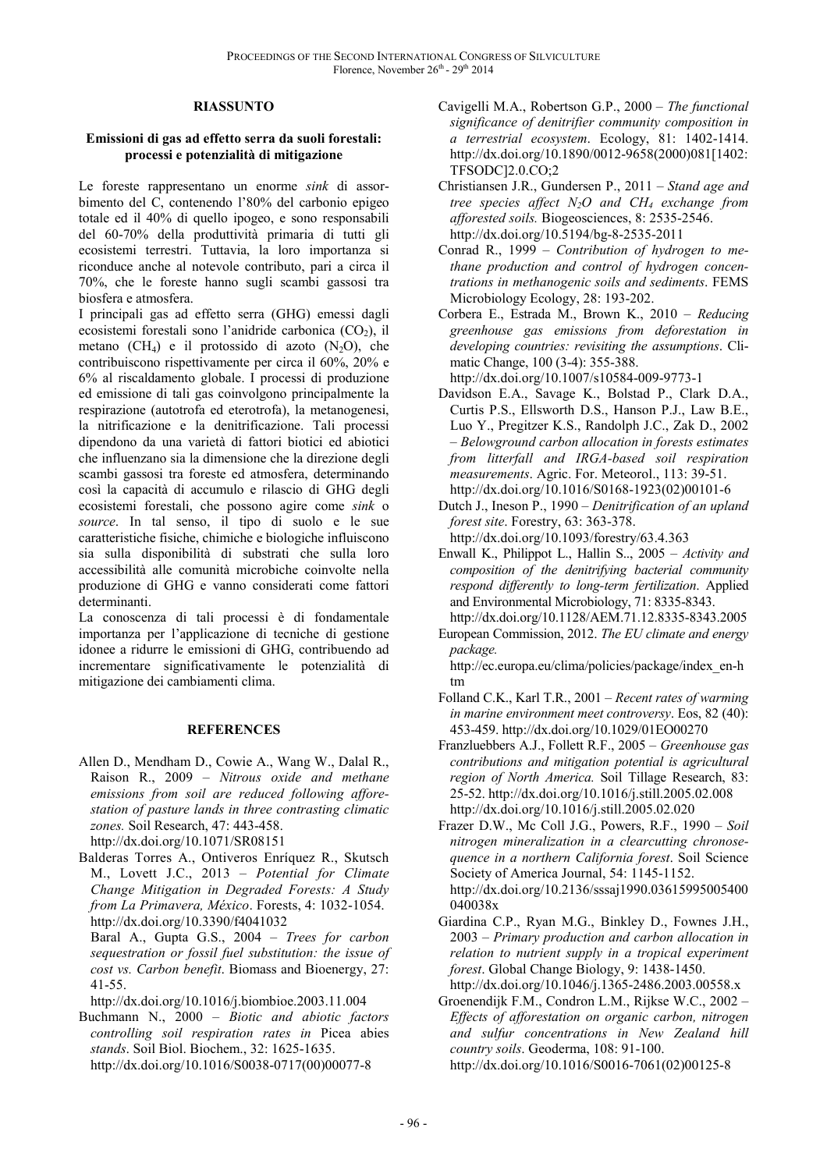#### **RIASSUNTO**

#### **Emissioni di gas ad effetto serra da suoli forestali: processi e potenzialità di mitigazione**

Le foreste rappresentano un enorme *sink* di assorbimento del C, contenendo l'80% del carbonio epigeo totale ed il 40% di quello ipogeo, e sono responsabili del 60-70% della produttività primaria di tutti gli ecosistemi terrestri. Tuttavia, la loro importanza si riconduce anche al notevole contributo, pari a circa il 70%, che le foreste hanno sugli scambi gassosi tra biosfera e atmosfera.

I principali gas ad effetto serra (GHG) emessi dagli ecosistemi forestali sono l'anidride carbonica  $(CO<sub>2</sub>)$ , il metano (CH<sub>4</sub>) e il protossido di azoto (N<sub>2</sub>O), che contribuiscono rispettivamente per circa il 60%, 20% e 6% al riscaldamento globale. I processi di produzione ed emissione di tali gas coinvolgono principalmente la respirazione (autotrofa ed eterotrofa), la metanogenesi, la nitrificazione e la denitrificazione. Tali processi dipendono da una varietà di fattori biotici ed abiotici che influenzano sia la dimensione che la direzione degli scambi gassosi tra foreste ed atmosfera, determinando così la capacità di accumulo e rilascio di GHG degli ecosistemi forestali, che possono agire come *sink* o *source*. In tal senso, il tipo di suolo e le sue caratteristiche fisiche, chimiche e biologiche influiscono sia sulla disponibilità di substrati che sulla loro accessibilità alle comunità microbiche coinvolte nella produzione di GHG e vanno considerati come fattori determinanti.

La conoscenza di tali processi è di fondamentale importanza per l'applicazione di tecniche di gestione idonee a ridurre le emissioni di GHG, contribuendo ad incrementare significativamente le potenzialità di mitigazione dei cambiamenti clima.

#### **REFERENCES**

- Allen D., Mendham D., Cowie A., Wang W., Dalal R., Raison R., 2009 – *Nitrous oxide and methane emissions from soil are reduced following afforestation of pasture lands in three contrasting climatic zones.* Soil Research, 47: 443-458. http://dx.doi.org/10.1071/SR08151
- Balderas Torres A., Ontiveros Enríquez R., Skutsch M., Lovett J.C., 2013 – *Potential for Climate Change Mitigation in Degraded Forests: A Study from La Primavera, México*. Forests, 4: 1032-1054. http://dx.doi.org/10.3390/f4041032

Baral A., Gupta G.S., 2004 – *Trees for carbon sequestration or fossil fuel substitution: the issue of cost vs. Carbon benefit*. Biomass and Bioenergy, 27: 41-55.

http://dx.doi.org/10.1016/j.biombioe.2003.11.004

Buchmann N., 2000 – *Biotic and abiotic factors controlling soil respiration rates in* Picea abies *stands*. Soil Biol. Biochem., 32: 1625-1635. http://dx.doi.org/10.1016/S0038-0717(00)00077-8

- Cavigelli M.A., Robertson G.P., 2000 *The functional significance of denitrifier community composition in a terrestrial ecosystem*. Ecology, 81: 1402-1414. http://dx.doi.org/10.1890/0012-9658(2000)081[1402: TFSODC]2.0.CO;2
- Christiansen J.R., Gundersen P., 2011 *Stand age and tree species affect N2O and CH4 exchange from afforested soils.* Biogeosciences, 8: 2535-2546. http://dx.doi.org/10.5194/bg-8-2535-2011
- Conrad R., 1999 *Contribution of hydrogen to methane production and control of hydrogen concentrations in methanogenic soils and sediments*. FEMS Microbiology Ecology, 28: 193-202.
- Corbera E., Estrada M., Brown K., 2010 *Reducing greenhouse gas emissions from deforestation in developing countries: revisiting the assumptions*. Climatic Change, 100 (3-4): 355-388.

http://dx.doi.org/10.1007/s10584-009-9773-1

- Davidson E.A., Savage K., Bolstad P., Clark D.A., Curtis P.S., Ellsworth D.S., Hanson P.J., Law B.E., Luo Y., Pregitzer K.S., Randolph J.C., Zak D., 2002 – *Belowground carbon allocation in forests estimates from litterfall and IRGA-based soil respiration measurements*. Agric. For. Meteorol., 113: 39-51.
- http://dx.doi.org/10.1016/S0168-1923(02)00101-6 Dutch J., Ineson P., 1990 – *Denitrification of an upland forest site*. Forestry, 63: 363-378.

http://dx.doi.org/10.1093/forestry/63.4.363

- Enwall K., Philippot L., Hallin S.., 2005 *Activity and composition of the denitrifying bacterial community respond differently to long-term fertilization*. Applied and Environmental Microbiology, 71: 8335-8343.
- http://dx.doi.org/10.1128/AEM.71.12.8335-8343.2005 European Commission, 2012. *The EU climate and energy package.*

 http://ec.europa.eu/clima/policies/package/index\_en-h tm

- Folland C.K., Karl T.R., 2001 *Recent rates of warming in marine environment meet controversy*. Eos, 82 (40): 453-459. http://dx.doi.org/10.1029/01EO00270
- Franzluebbers A.J., Follett R.F., 2005 *Greenhouse gas contributions and mitigation potential is agricultural region of North America.* Soil Tillage Research, 83: 25-52. http://dx.doi.org/10.1016/j.still.2005.02.008 http://dx.doi.org/10.1016/j.still.2005.02.020
- Frazer D.W., Mc Coll J.G., Powers, R.F., 1990 *Soil nitrogen mineralization in a clearcutting chronosequence in a northern California forest*. Soil Science Society of America Journal, 54: 1145-1152. http://dx.doi.org/10.2136/sssaj1990.03615995005400 040038x
- Giardina C.P., Ryan M.G., Binkley D., Fownes J.H., 2003 – *Primary production and carbon allocation in relation to nutrient supply in a tropical experiment forest*. Global Change Biology, 9: 1438-1450. http://dx.doi.org/10.1046/j.1365-2486.2003.00558.x
- Groenendijk F.M., Condron L.M., Rijkse W.C., 2002 *Effects of afforestation on organic carbon, nitrogen and sulfur concentrations in New Zealand hill country soils*. Geoderma, 108: 91-100. http://dx.doi.org/10.1016/S0016-7061(02)00125-8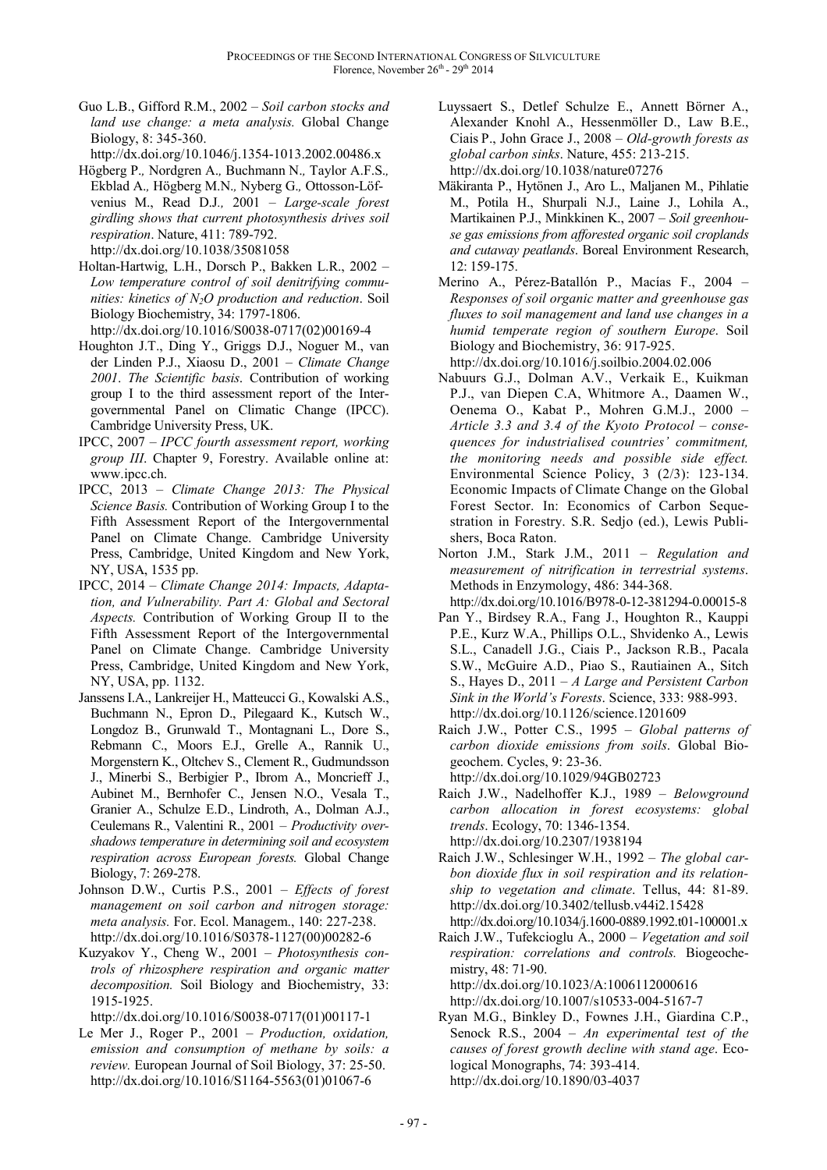Guo L.B., Gifford R.M., 2002 – *Soil carbon stocks and land use change: a meta analysis.* Global Change Biology, 8: 345-360.

http://dx.doi.org/10.1046/j.1354-1013.2002.00486.x

- Högberg P.*,* Nordgren A.*,* Buchmann N.*,* Taylor A.F.S.*,* Ekblad A.*,* Högberg M.N.*,* Nyberg G.*,* Ottosson-Löfvenius M., Read D.J*.,* 2001 – *Large-scale forest girdling shows that current photosynthesis drives soil respiration*. Nature, 411: 789-792. http://dx.doi.org/10.1038/35081058
- Holtan-Hartwig, L.H., Dorsch P., Bakken L.R., 2002 *Low temperature control of soil denitrifying communities: kinetics of N2O production and reduction*. Soil Biology Biochemistry, 34: 1797-1806. http://dx.doi.org/10.1016/S0038-0717(02)00169-4
- Houghton J.T., Ding Y., Griggs D.J., Noguer M., van der Linden P.J., Xiaosu D., 2001 – *Climate Change 2001*. *The Scientific basis*. Contribution of working group I to the third assessment report of the Intergovernmental Panel on Climatic Change (IPCC). Cambridge University Press, UK.
- IPCC, 2007 *IPCC fourth assessment report, working group III*. Chapter 9, Forestry. Available online at: www.ipcc.ch.
- IPCC, 2013 *Climate Change 2013: The Physical Science Basis.* Contribution of Working Group I to the Fifth Assessment Report of the Intergovernmental Panel on Climate Change. Cambridge University Press, Cambridge, United Kingdom and New York, NY, USA, 1535 pp.
- IPCC, 2014 *Climate Change 2014: Impacts, Adaptation, and Vulnerability. Part A: Global and Sectoral Aspects.* Contribution of Working Group II to the Fifth Assessment Report of the Intergovernmental Panel on Climate Change. Cambridge University Press, Cambridge, United Kingdom and New York, NY, USA, pp. 1132.
- Janssens I.A., Lankreijer H., Matteucci G., Kowalski A.S., Buchmann N., Epron D., Pilegaard K., Kutsch W., Longdoz B., Grunwald T., Montagnani L., Dore S., Rebmann C., Moors E.J., Grelle A., Rannik U., Morgenstern K., Oltchev S., Clement R., Gudmundsson J., Minerbi S., Berbigier P., Ibrom A., Moncrieff J., Aubinet M., Bernhofer C., Jensen N.O., Vesala T., Granier A., Schulze E.D., Lindroth, A., Dolman A.J., Ceulemans R., Valentini R., 2001 – *Productivity overshadows temperature in determining soil and ecosystem respiration across European forests.* Global Change Biology, 7: 269-278.
- Johnson D.W., Curtis P.S., 2001 *Effects of forest management on soil carbon and nitrogen storage: meta analysis.* For. Ecol. Managem., 140: 227-238. http://dx.doi.org/10.1016/S0378-1127(00)00282-6
- Kuzyakov Y., Cheng W., 2001 *Photosynthesis controls of rhizosphere respiration and organic matter decomposition.* Soil Biology and Biochemistry, 33: 1915-1925.

http://dx.doi.org/10.1016/S0038-0717(01)00117-1

Le Mer J., Roger P., 2001 – *Production, oxidation, emission and consumption of methane by soils: a review.* European Journal of Soil Biology, 37: 25-50. http://dx.doi.org/10.1016/S1164-5563(01)01067-6

- Luyssaert S., Detlef Schulze E., Annett Börner A., Alexander Knohl A., Hessenmöller D., Law B.E., Ciais P., John Grace J., 2008 – *Old-growth forests as global carbon sinks*. Nature, 455: 213-215. http://dx.doi.org/10.1038/nature07276
- Mäkiranta P., Hytönen J., Aro L., Maljanen M., Pihlatie M., Potila H., Shurpali N.J., Laine J., Lohila A., Martikainen P.J., Minkkinen K., 2007 – *Soil greenhouse gas emissions from afforested organic soil croplands and cutaway peatlands*. Boreal Environment Research, 12: 159-175.
- Merino A., Pérez-Batallón P., Macías F., 2004 *Responses of soil organic matter and greenhouse gas fluxes to soil management and land use changes in a humid temperate region of southern Europe*. Soil Biology and Biochemistry, 36: 917-925.

http://dx.doi.org/10.1016/j.soilbio.2004.02.006

- Nabuurs G.J., Dolman A.V., Verkaik E., Kuikman P.J., van Diepen C.A, Whitmore A., Daamen W., Oenema O., Kabat P., Mohren G.M.J., 2000 – *Article 3.3 and 3.4 of the Kyoto Protocol – consequences for industrialised countries' commitment, the monitoring needs and possible side effect.* Environmental Science Policy, 3 (2/3): 123-134. Economic Impacts of Climate Change on the Global Forest Sector. In: Economics of Carbon Sequestration in Forestry. S.R. Sedjo (ed.), Lewis Publishers, Boca Raton.
- Norton J.M., Stark J.M., 2011 *Regulation and measurement of nitrification in terrestrial systems*. Methods in Enzymology, 486: 344-368. http://dx.doi.org/10.1016/B978-0-12-381294-0.00015-8
- Pan Y., Birdsey R.A., Fang J., Houghton R., Kauppi P.E., Kurz W.A., Phillips O.L., Shvidenko A., Lewis S.L., Canadell J.G., Ciais P., Jackson R.B., Pacala S.W., McGuire A.D., Piao S., Rautiainen A., Sitch S., Hayes D., 2011 – *A Large and Persistent Carbon Sink in the World's Forests*. Science, 333: 988-993. http://dx.doi.org/10.1126/science.1201609
- Raich J.W., Potter C.S., 1995 *Global patterns of carbon dioxide emissions from soils*. Global Biogeochem. Cycles, 9: 23-36. http://dx.doi.org/10.1029/94GB02723
- Raich J.W., Nadelhoffer K.J., 1989 *Belowground carbon allocation in forest ecosystems: global trends*. Ecology, 70: 1346-1354. http://dx.doi.org/10.2307/1938194
- Raich J.W., Schlesinger W.H., 1992 *The global carbon dioxide flux in soil respiration and its relationship to vegetation and climate*. Tellus, 44: 81-89. http://dx.doi.org/10.3402/tellusb.v44i2.15428 http://dx.doi.org/10.1034/j.1600-0889.1992.t01-100001.x
- Raich J.W., Tufekcioglu A., 2000 *Vegetation and soil respiration: correlations and controls.* Biogeochemistry, 48: 71-90. http://dx.doi.org/10.1023/A:1006112000616
	- http://dx.doi.org/10.1007/s10533-004-5167-7
- Ryan M.G., Binkley D., Fownes J.H., Giardina C.P., Senock R.S., 2004 – *An experimental test of the causes of forest growth decline with stand age*. Ecological Monographs, 74: 393-414. http://dx.doi.org/10.1890/03-4037